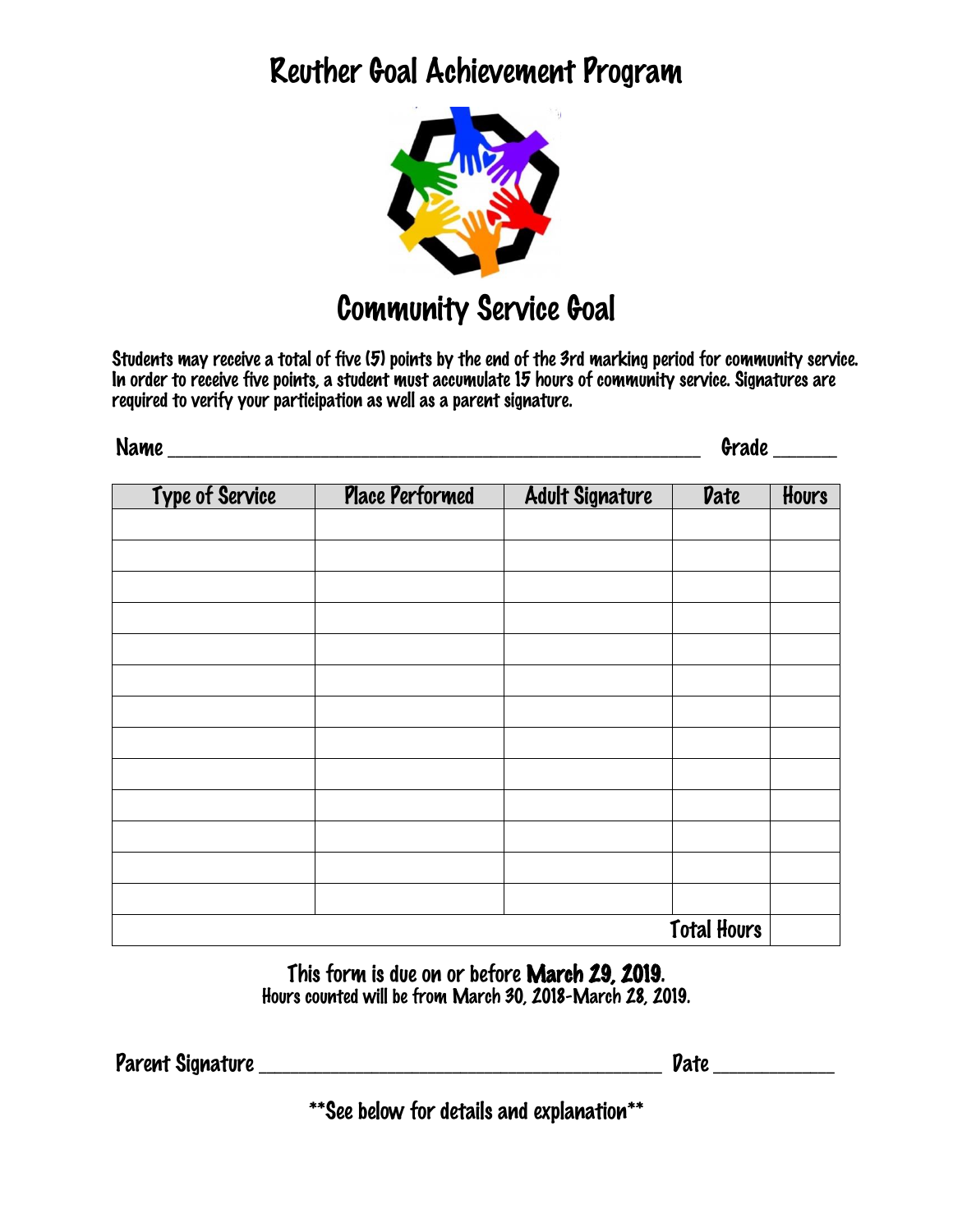## Reuther Goal Achievement Program



Students may receive a total of five (5) points by the end of the 3rd marking period for community service. In order to receive five points, a student must accumulate 15 hours of community service. Signatures are required to verify your participation as well as a parent signature.

| 11886<br>ιτηι<br><b>IAULA</b> | . .<br>aue - |
|-------------------------------|--------------|
|                               |              |

| Type of Service    | <b>Place Performed</b> | <b>Adult Signature</b> | <b>Date</b> | Hours |
|--------------------|------------------------|------------------------|-------------|-------|
|                    |                        |                        |             |       |
|                    |                        |                        |             |       |
|                    |                        |                        |             |       |
|                    |                        |                        |             |       |
|                    |                        |                        |             |       |
|                    |                        |                        |             |       |
|                    |                        |                        |             |       |
|                    |                        |                        |             |       |
|                    |                        |                        |             |       |
|                    |                        |                        |             |       |
|                    |                        |                        |             |       |
|                    |                        |                        |             |       |
|                    |                        |                        |             |       |
| <b>Total Hours</b> |                        |                        |             |       |

This form is due on or before March 29, 2019. Hours counted will be from March 30, 2018-March 28, 2019.

Parent Signature \_\_\_\_\_\_\_\_\_\_\_\_\_\_\_\_\_\_\_\_\_\_\_\_\_\_\_\_\_\_\_\_\_\_\_\_\_\_\_\_\_\_\_\_\_\_\_\_\_\_ Date \_\_\_\_\_\_\_\_\_\_\_\_\_\_\_

\*\*See below for details and explanation\*\*